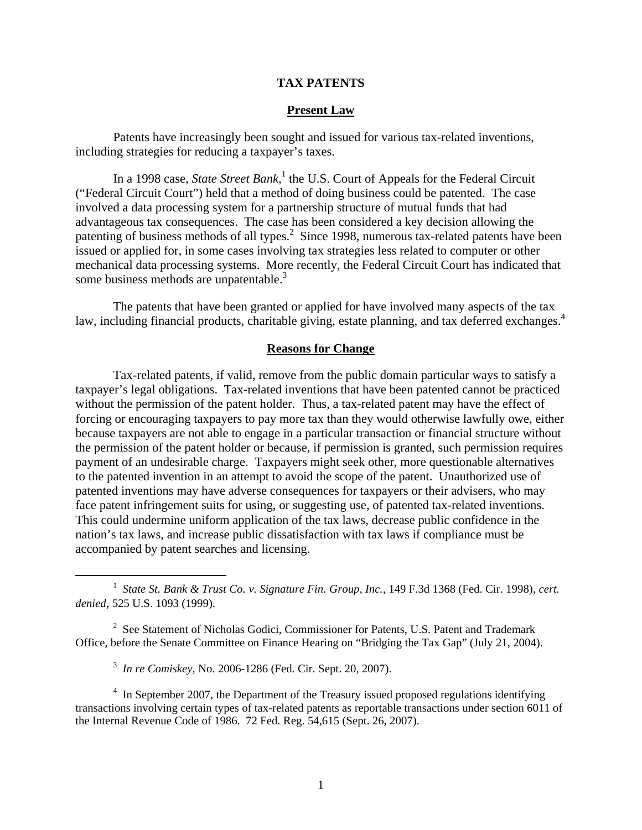# **TAX PATENTS**

### **Present Law**

Patents have increasingly been sought and issued for various tax-related inventions, including strategies for reducing a taxpayer's taxes.

In a 1998 case, *State Street Bank*,<sup>1</sup> the U.S. Court of Appeals for the Federal Circuit ("Federal Circuit Court") held that a method of doing business could be patented. The case involved a data processing system for a partnership structure of mutual funds that had advantageous tax consequences. The case has been considered a key decision allowing the patenting of business methods of all types.<sup>2</sup> Since 1998, numerous tax-related patents have been issued or applied for, in some cases involving tax strategies less related to computer or other mechanical data processing systems. More recently, the Federal Circuit Court has indicated that some business methods are unpatentable.<sup>3</sup>

The patents that have been granted or applied for have involved many aspects of the tax law, including financial products, charitable giving, estate planning, and tax deferred exchanges.<sup>4</sup>

#### **Reasons for Change**

Tax-related patents, if valid, remove from the public domain particular ways to satisfy a taxpayer's legal obligations. Tax-related inventions that have been patented cannot be practiced without the permission of the patent holder. Thus, a tax-related patent may have the effect of forcing or encouraging taxpayers to pay more tax than they would otherwise lawfully owe, either because taxpayers are not able to engage in a particular transaction or financial structure without the permission of the patent holder or because, if permission is granted, such permission requires payment of an undesirable charge. Taxpayers might seek other, more questionable alternatives to the patented invention in an attempt to avoid the scope of the patent. Unauthorized use of patented inventions may have adverse consequences for taxpayers or their advisers, who may face patent infringement suits for using, or suggesting use, of patented tax-related inventions. This could undermine uniform application of the tax laws, decrease public confidence in the nation's tax laws, and increase public dissatisfaction with tax laws if compliance must be accompanied by patent searches and licensing.

<u>1</u> *State St. Bank & Trust Co. v. Signature Fin. Group, Inc.*, 149 F.3d 1368 (Fed. Cir. 1998), *cert. denied*, 525 U.S. 1093 (1999).

<sup>2</sup> See Statement of Nicholas Godici, Commissioner for Patents, U.S. Patent and Trademark Office, before the Senate Committee on Finance Hearing on "Bridging the Tax Gap" (July 21, 2004).

3 *In re Comiskey*, No. 2006-1286 (Fed. Cir. Sept. 20, 2007).

<sup>4</sup> In September 2007, the Department of the Treasury issued proposed regulations identifying transactions involving certain types of tax-related patents as reportable transactions under section 6011 of the Internal Revenue Code of 1986. 72 Fed. Reg. 54,615 (Sept. 26, 2007).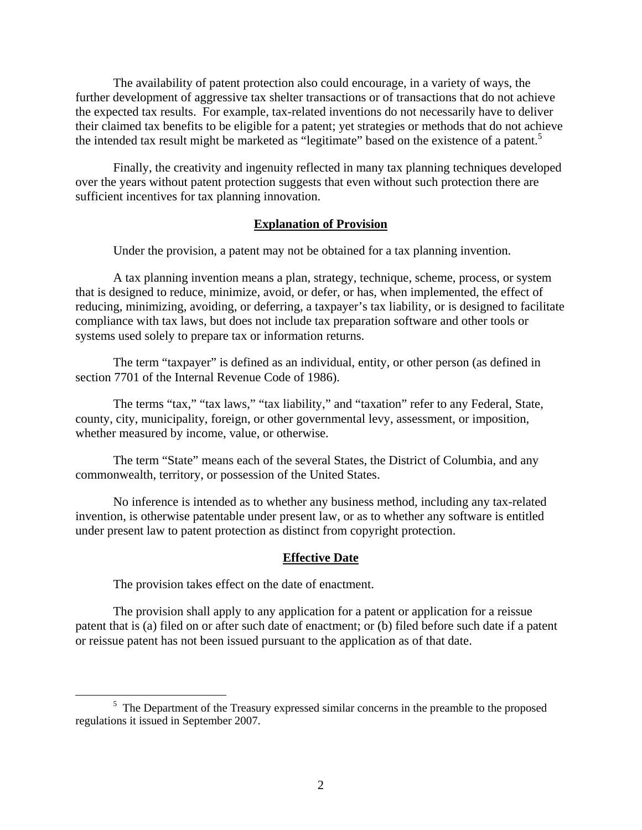The availability of patent protection also could encourage, in a variety of ways, the further development of aggressive tax shelter transactions or of transactions that do not achieve the expected tax results. For example, tax-related inventions do not necessarily have to deliver their claimed tax benefits to be eligible for a patent; yet strategies or methods that do not achieve the intended tax result might be marketed as "legitimate" based on the existence of a patent.<sup>5</sup>

Finally, the creativity and ingenuity reflected in many tax planning techniques developed over the years without patent protection suggests that even without such protection there are sufficient incentives for tax planning innovation.

## **Explanation of Provision**

Under the provision, a patent may not be obtained for a tax planning invention.

A tax planning invention means a plan, strategy, technique, scheme, process, or system that is designed to reduce, minimize, avoid, or defer, or has, when implemented, the effect of reducing, minimizing, avoiding, or deferring, a taxpayer's tax liability, or is designed to facilitate compliance with tax laws, but does not include tax preparation software and other tools or systems used solely to prepare tax or information returns.

The term "taxpayer" is defined as an individual, entity, or other person (as defined in section 7701 of the Internal Revenue Code of 1986).

The terms "tax," "tax laws," "tax liability," and "taxation" refer to any Federal, State, county, city, municipality, foreign, or other governmental levy, assessment, or imposition, whether measured by income, value, or otherwise.

The term "State" means each of the several States, the District of Columbia, and any commonwealth, territory, or possession of the United States.

No inference is intended as to whether any business method, including any tax-related invention, is otherwise patentable under present law, or as to whether any software is entitled under present law to patent protection as distinct from copyright protection.

#### **Effective Date**

The provision takes effect on the date of enactment.

The provision shall apply to any application for a patent or application for a reissue patent that is (a) filed on or after such date of enactment; or (b) filed before such date if a patent or reissue patent has not been issued pursuant to the application as of that date.

 $\frac{1}{5}$  $5$  The Department of the Treasury expressed similar concerns in the preamble to the proposed regulations it issued in September 2007.